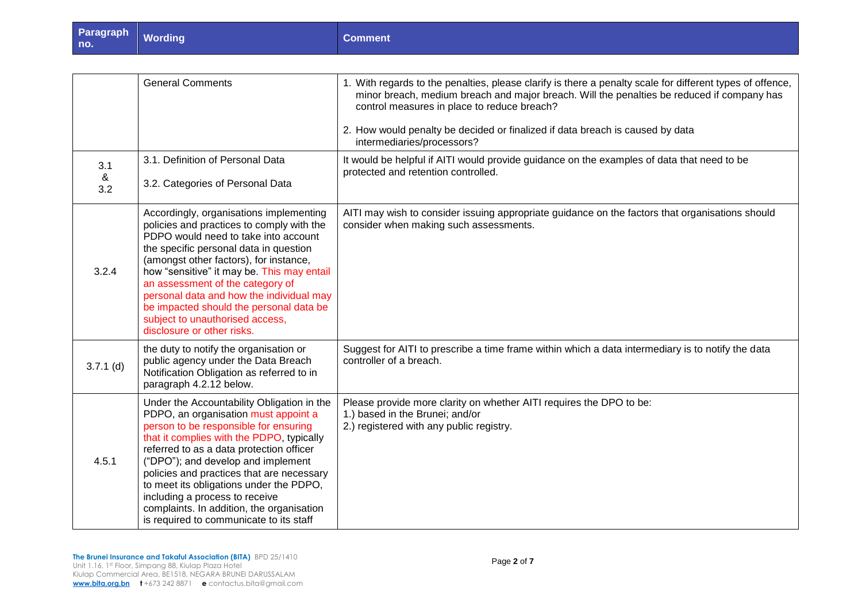|                 | <b>General Comments</b>                                                                                                                                                                                                                                                                                                                                                                                                                                                      | 1. With regards to the penalties, please clarify is there a penalty scale for different types of offence,<br>minor breach, medium breach and major breach. Will the penalties be reduced if company has<br>control measures in place to reduce breach?<br>2. How would penalty be decided or finalized if data breach is caused by data<br>intermediaries/processors? |
|-----------------|------------------------------------------------------------------------------------------------------------------------------------------------------------------------------------------------------------------------------------------------------------------------------------------------------------------------------------------------------------------------------------------------------------------------------------------------------------------------------|-----------------------------------------------------------------------------------------------------------------------------------------------------------------------------------------------------------------------------------------------------------------------------------------------------------------------------------------------------------------------|
| 3.1<br>&<br>3.2 | 3.1. Definition of Personal Data<br>3.2. Categories of Personal Data                                                                                                                                                                                                                                                                                                                                                                                                         | It would be helpful if AITI would provide guidance on the examples of data that need to be<br>protected and retention controlled.                                                                                                                                                                                                                                     |
| 3.2.4           | Accordingly, organisations implementing<br>policies and practices to comply with the<br>PDPO would need to take into account<br>the specific personal data in question<br>(amongst other factors), for instance,<br>how "sensitive" it may be. This may entail<br>an assessment of the category of<br>personal data and how the individual may<br>be impacted should the personal data be<br>subject to unauthorised access,<br>disclosure or other risks.                   | AITI may wish to consider issuing appropriate guidance on the factors that organisations should<br>consider when making such assessments.                                                                                                                                                                                                                             |
| $3.7.1$ (d)     | the duty to notify the organisation or<br>public agency under the Data Breach<br>Notification Obligation as referred to in<br>paragraph 4.2.12 below.                                                                                                                                                                                                                                                                                                                        | Suggest for AITI to prescribe a time frame within which a data intermediary is to notify the data<br>controller of a breach.                                                                                                                                                                                                                                          |
| 4.5.1           | Under the Accountability Obligation in the<br>PDPO, an organisation must appoint a<br>person to be responsible for ensuring<br>that it complies with the PDPO, typically<br>referred to as a data protection officer<br>("DPO"); and develop and implement<br>policies and practices that are necessary<br>to meet its obligations under the PDPO,<br>including a process to receive<br>complaints. In addition, the organisation<br>is required to communicate to its staff | Please provide more clarity on whether AITI requires the DPO to be:<br>1.) based in the Brunei; and/or<br>2.) registered with any public registry.                                                                                                                                                                                                                    |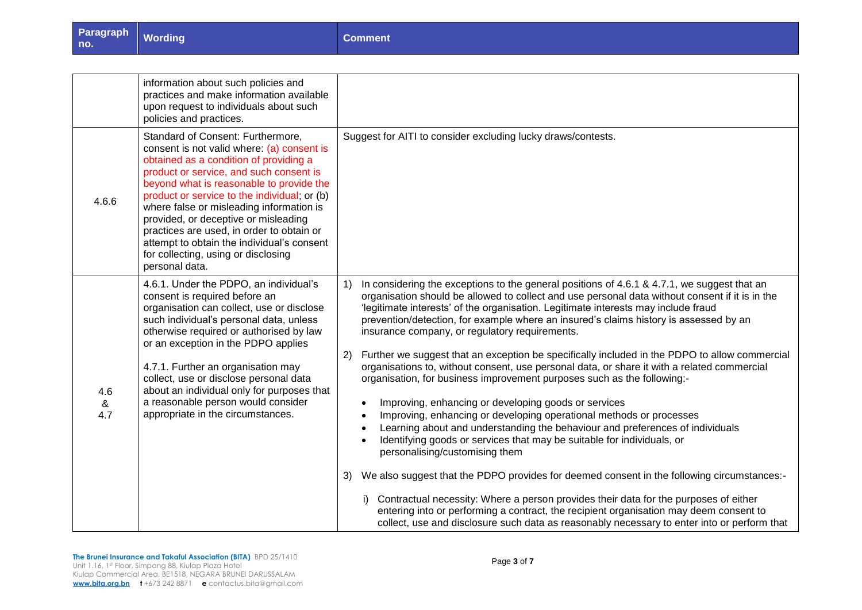|                                     | information about such policies and<br>practices and make information available<br>upon request to individuals about such<br>policies and practices.                                                                                                                                                                                                                                                                                                                                                     |                                                                                                                                                                                                                                                                                                                                                                                                                                                                                                                                                                                                                                                                                                                                                                                                                                                                                                                                                                                                                                                                                                                                                                                                                                                                                                                                                                                                                                                |
|-------------------------------------|----------------------------------------------------------------------------------------------------------------------------------------------------------------------------------------------------------------------------------------------------------------------------------------------------------------------------------------------------------------------------------------------------------------------------------------------------------------------------------------------------------|------------------------------------------------------------------------------------------------------------------------------------------------------------------------------------------------------------------------------------------------------------------------------------------------------------------------------------------------------------------------------------------------------------------------------------------------------------------------------------------------------------------------------------------------------------------------------------------------------------------------------------------------------------------------------------------------------------------------------------------------------------------------------------------------------------------------------------------------------------------------------------------------------------------------------------------------------------------------------------------------------------------------------------------------------------------------------------------------------------------------------------------------------------------------------------------------------------------------------------------------------------------------------------------------------------------------------------------------------------------------------------------------------------------------------------------------|
| 4.6.6                               | Standard of Consent: Furthermore,<br>consent is not valid where: (a) consent is<br>obtained as a condition of providing a<br>product or service, and such consent is<br>beyond what is reasonable to provide the<br>product or service to the individual; or (b)<br>where false or misleading information is<br>provided, or deceptive or misleading<br>practices are used, in order to obtain or<br>attempt to obtain the individual's consent<br>for collecting, using or disclosing<br>personal data. | Suggest for AITI to consider excluding lucky draws/contests.                                                                                                                                                                                                                                                                                                                                                                                                                                                                                                                                                                                                                                                                                                                                                                                                                                                                                                                                                                                                                                                                                                                                                                                                                                                                                                                                                                                   |
| 4.6<br>$\boldsymbol{\alpha}$<br>4.7 | 4.6.1. Under the PDPO, an individual's<br>consent is required before an<br>organisation can collect, use or disclose<br>such individual's personal data, unless<br>otherwise required or authorised by law<br>or an exception in the PDPO applies<br>4.7.1. Further an organisation may<br>collect, use or disclose personal data<br>about an individual only for purposes that<br>a reasonable person would consider<br>appropriate in the circumstances.                                               | In considering the exceptions to the general positions of 4.6.1 & 4.7.1, we suggest that an<br>1)<br>organisation should be allowed to collect and use personal data without consent if it is in the<br>'legitimate interests' of the organisation. Legitimate interests may include fraud<br>prevention/detection, for example where an insured's claims history is assessed by an<br>insurance company, or regulatory requirements.<br>Further we suggest that an exception be specifically included in the PDPO to allow commercial<br>2)<br>organisations to, without consent, use personal data, or share it with a related commercial<br>organisation, for business improvement purposes such as the following:-<br>Improving, enhancing or developing goods or services<br>Improving, enhancing or developing operational methods or processes<br>Learning about and understanding the behaviour and preferences of individuals<br>Identifying goods or services that may be suitable for individuals, or<br>personalising/customising them<br>We also suggest that the PDPO provides for deemed consent in the following circumstances:-<br>3)<br>Contractual necessity: Where a person provides their data for the purposes of either<br>i).<br>entering into or performing a contract, the recipient organisation may deem consent to<br>collect, use and disclosure such data as reasonably necessary to enter into or perform that |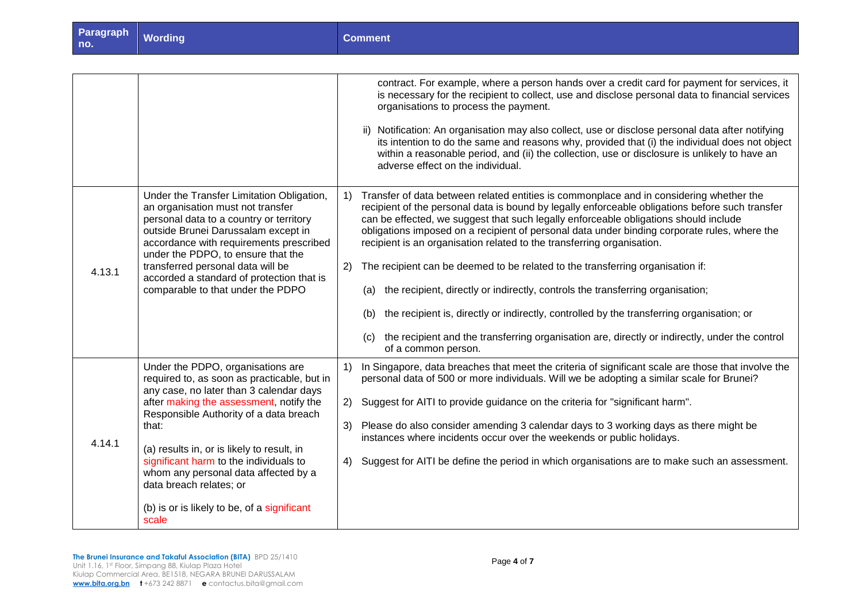| Paragraph | Word |
|-----------|------|
| no.       |      |

|        |                                                                                                                                                                                                                                                                                                                                                                                                                                              | contract. For example, where a person hands over a credit card for payment for services, it<br>is necessary for the recipient to collect, use and disclose personal data to financial services<br>organisations to process the payment.<br>ii) Notification: An organisation may also collect, use or disclose personal data after notifying<br>its intention to do the same and reasons why, provided that (i) the individual does not object<br>within a reasonable period, and (ii) the collection, use or disclosure is unlikely to have an<br>adverse effect on the individual.                                                                                                                                                                                                                                                                                                    |
|--------|----------------------------------------------------------------------------------------------------------------------------------------------------------------------------------------------------------------------------------------------------------------------------------------------------------------------------------------------------------------------------------------------------------------------------------------------|-----------------------------------------------------------------------------------------------------------------------------------------------------------------------------------------------------------------------------------------------------------------------------------------------------------------------------------------------------------------------------------------------------------------------------------------------------------------------------------------------------------------------------------------------------------------------------------------------------------------------------------------------------------------------------------------------------------------------------------------------------------------------------------------------------------------------------------------------------------------------------------------|
| 4.13.1 | Under the Transfer Limitation Obligation,<br>an organisation must not transfer<br>personal data to a country or territory<br>outside Brunei Darussalam except in<br>accordance with requirements prescribed<br>under the PDPO, to ensure that the<br>transferred personal data will be<br>accorded a standard of protection that is<br>comparable to that under the PDPO                                                                     | Transfer of data between related entities is commonplace and in considering whether the<br>1)<br>recipient of the personal data is bound by legally enforceable obligations before such transfer<br>can be effected, we suggest that such legally enforceable obligations should include<br>obligations imposed on a recipient of personal data under binding corporate rules, where the<br>recipient is an organisation related to the transferring organisation.<br>The recipient can be deemed to be related to the transferring organisation if:<br>2)<br>the recipient, directly or indirectly, controls the transferring organisation;<br>(a)<br>the recipient is, directly or indirectly, controlled by the transferring organisation; or<br>(b)<br>the recipient and the transferring organisation are, directly or indirectly, under the control<br>(C)<br>of a common person. |
| 4.14.1 | Under the PDPO, organisations are<br>required to, as soon as practicable, but in<br>any case, no later than 3 calendar days<br>after making the assessment, notify the<br>Responsible Authority of a data breach<br>that:<br>(a) results in, or is likely to result, in<br>significant harm to the individuals to<br>whom any personal data affected by a<br>data breach relates; or<br>(b) is or is likely to be, of a significant<br>scale | In Singapore, data breaches that meet the criteria of significant scale are those that involve the<br>1)<br>personal data of 500 or more individuals. Will we be adopting a similar scale for Brunei?<br>Suggest for AITI to provide guidance on the criteria for "significant harm".<br>2)<br>Please do also consider amending 3 calendar days to 3 working days as there might be<br>3)<br>instances where incidents occur over the weekends or public holidays.<br>Suggest for AITI be define the period in which organisations are to make such an assessment.<br>4)                                                                                                                                                                                                                                                                                                                |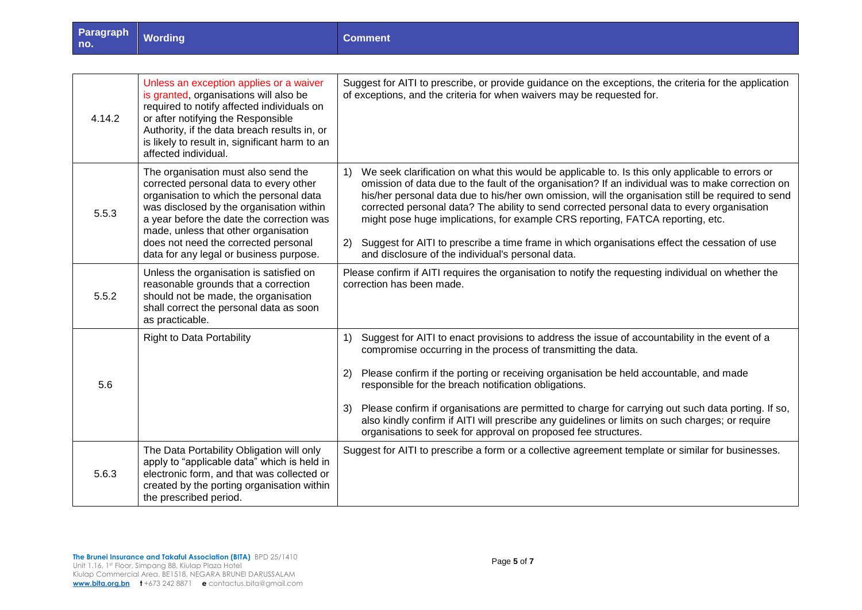| Paragraph<br>no. | <b>Wording</b>                                                                                                                                                                                                                                                                                                                               | <b>Comment</b>                                                                                                                                                                                                                                                                                                                                                                                                                                                                                                                                                                                                                                                |
|------------------|----------------------------------------------------------------------------------------------------------------------------------------------------------------------------------------------------------------------------------------------------------------------------------------------------------------------------------------------|---------------------------------------------------------------------------------------------------------------------------------------------------------------------------------------------------------------------------------------------------------------------------------------------------------------------------------------------------------------------------------------------------------------------------------------------------------------------------------------------------------------------------------------------------------------------------------------------------------------------------------------------------------------|
|                  |                                                                                                                                                                                                                                                                                                                                              |                                                                                                                                                                                                                                                                                                                                                                                                                                                                                                                                                                                                                                                               |
| 4.14.2           | Unless an exception applies or a waiver<br>is granted, organisations will also be<br>required to notify affected individuals on<br>or after notifying the Responsible<br>Authority, if the data breach results in, or<br>is likely to result in, significant harm to an<br>affected individual.                                              | Suggest for AITI to prescribe, or provide guidance on the exceptions, the criteria for the application<br>of exceptions, and the criteria for when waivers may be requested for.                                                                                                                                                                                                                                                                                                                                                                                                                                                                              |
| 5.5.3            | The organisation must also send the<br>corrected personal data to every other<br>organisation to which the personal data<br>was disclosed by the organisation within<br>a year before the date the correction was<br>made, unless that other organisation<br>does not need the corrected personal<br>data for any legal or business purpose. | We seek clarification on what this would be applicable to. Is this only applicable to errors or<br>1)<br>omission of data due to the fault of the organisation? If an individual was to make correction on<br>his/her personal data due to his/her own omission, will the organisation still be required to send<br>corrected personal data? The ability to send corrected personal data to every organisation<br>might pose huge implications, for example CRS reporting, FATCA reporting, etc.<br>Suggest for AITI to prescribe a time frame in which organisations effect the cessation of use<br>(2)<br>and disclosure of the individual's personal data. |
| 5.5.2            | Unless the organisation is satisfied on<br>reasonable grounds that a correction<br>should not be made, the organisation<br>shall correct the personal data as soon<br>as practicable.                                                                                                                                                        | Please confirm if AITI requires the organisation to notify the requesting individual on whether the<br>correction has been made.                                                                                                                                                                                                                                                                                                                                                                                                                                                                                                                              |
| 5.6              | <b>Right to Data Portability</b>                                                                                                                                                                                                                                                                                                             | Suggest for AITI to enact provisions to address the issue of accountability in the event of a<br>1)<br>compromise occurring in the process of transmitting the data.<br>Please confirm if the porting or receiving organisation be held accountable, and made<br>2)<br>responsible for the breach notification obligations.<br>3)<br>Please confirm if organisations are permitted to charge for carrying out such data porting. If so,<br>also kindly confirm if AITI will prescribe any guidelines or limits on such charges; or require<br>organisations to seek for approval on proposed fee structures.                                                  |
| 5.6.3            | The Data Portability Obligation will only<br>apply to "applicable data" which is held in<br>electronic form, and that was collected or<br>created by the porting organisation within<br>the prescribed period.                                                                                                                               | Suggest for AITI to prescribe a form or a collective agreement template or similar for businesses.                                                                                                                                                                                                                                                                                                                                                                                                                                                                                                                                                            |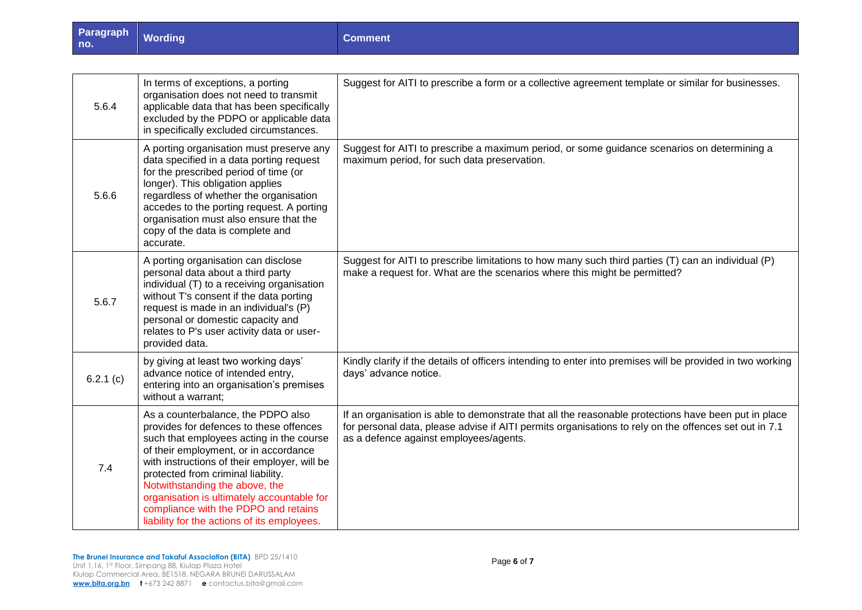| Paragraph | Wordin |
|-----------|--------|
| no.       |        |

| 5.6.4    | In terms of exceptions, a porting<br>organisation does not need to transmit<br>applicable data that has been specifically<br>excluded by the PDPO or applicable data<br>in specifically excluded circumstances.                                                                                                                                                                                                                 | Suggest for AITI to prescribe a form or a collective agreement template or similar for businesses.                                                                                                                                                      |
|----------|---------------------------------------------------------------------------------------------------------------------------------------------------------------------------------------------------------------------------------------------------------------------------------------------------------------------------------------------------------------------------------------------------------------------------------|---------------------------------------------------------------------------------------------------------------------------------------------------------------------------------------------------------------------------------------------------------|
| 5.6.6    | A porting organisation must preserve any<br>data specified in a data porting request<br>for the prescribed period of time (or<br>longer). This obligation applies<br>regardless of whether the organisation<br>accedes to the porting request. A porting<br>organisation must also ensure that the<br>copy of the data is complete and<br>accurate.                                                                             | Suggest for AITI to prescribe a maximum period, or some guidance scenarios on determining a<br>maximum period, for such data preservation.                                                                                                              |
| 5.6.7    | A porting organisation can disclose<br>personal data about a third party<br>individual (T) to a receiving organisation<br>without T's consent if the data porting<br>request is made in an individual's (P)<br>personal or domestic capacity and<br>relates to P's user activity data or user-<br>provided data.                                                                                                                | Suggest for AITI to prescribe limitations to how many such third parties (T) can an individual (P)<br>make a request for. What are the scenarios where this might be permitted?                                                                         |
| 6.2.1(c) | by giving at least two working days'<br>advance notice of intended entry,<br>entering into an organisation's premises<br>without a warrant;                                                                                                                                                                                                                                                                                     | Kindly clarify if the details of officers intending to enter into premises will be provided in two working<br>days' advance notice.                                                                                                                     |
| 7.4      | As a counterbalance, the PDPO also<br>provides for defences to these offences<br>such that employees acting in the course<br>of their employment, or in accordance<br>with instructions of their employer, will be<br>protected from criminal liability.<br>Notwithstanding the above, the<br>organisation is ultimately accountable for<br>compliance with the PDPO and retains<br>liability for the actions of its employees. | If an organisation is able to demonstrate that all the reasonable protections have been put in place<br>for personal data, please advise if AITI permits organisations to rely on the offences set out in 7.1<br>as a defence against employees/agents. |